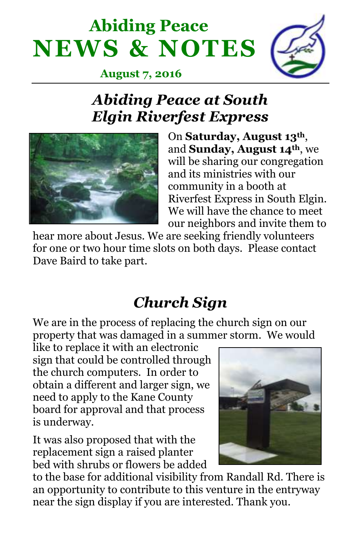# **Abiding Peace NEWS & NOTES**



 **August 7, 2016**

### *Abiding Peace at South Elgin Riverfest Express*



On **Saturday, August 13th**, and **Sunday, August 14th**, we will be sharing our congregation and its ministries with our community in a booth at Riverfest Express in South Elgin. We will have the chance to meet our neighbors and invite them to

hear more about Jesus. We are seeking friendly volunteers for one or two hour time slots on both days. Please contact Dave Baird to take part.

## *Church Sign*

We are in the process of replacing the church sign on our property that was damaged in a summer storm. We would

like to replace it with an electronic sign that could be controlled through the church computers. In order to obtain a different and larger sign, we need to apply to the Kane County board for approval and that process is underway.

It was also proposed that with the replacement sign a raised planter bed with shrubs or flowers be added



to the base for additional visibility from Randall Rd. There is an opportunity to contribute to this venture in the entryway near the sign display if you are interested. Thank you.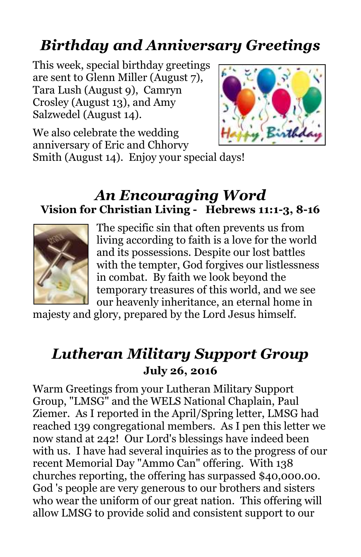## *Birthday and Anniversary Greetings*

This week, special birthday greetings are sent to Glenn Miller (August 7), Tara Lush (August 9), Camryn Crosley (August 13), and Amy Salzwedel (August 14).



We also celebrate the wedding anniversary of Eric and Chhorvy

Smith (August 14). Enjoy your special days!

#### *An Encouraging Word* **Vision for Christian Living - Hebrews 11:1-3, 8-16**



The specific sin that often prevents us from living according to faith is a love for the world and its possessions. Despite our lost battles with the tempter, God forgives our listlessness in combat. By faith we look beyond the temporary treasures of this world, and we see our heavenly inheritance, an eternal home in

majesty and glory, prepared by the Lord Jesus himself.

#### *Lutheran Military Support Group* **July 26, 2016**

Warm Greetings from your Lutheran Military Support Group, "LMSG" and the WELS National Chaplain, Paul Ziemer. As I reported in the April/Spring letter, LMSG had reached 139 congregational members. As I pen this letter we now stand at 242! Our Lord's blessings have indeed been with us. I have had several inquiries as to the progress of our recent Memorial Day "Ammo Can" offering. With 138 churches reporting, the offering has surpassed \$40,000.00. God 's people are very generous to our brothers and sisters who wear the uniform of our great nation. This offering will allow LMSG to provide solid and consistent support to our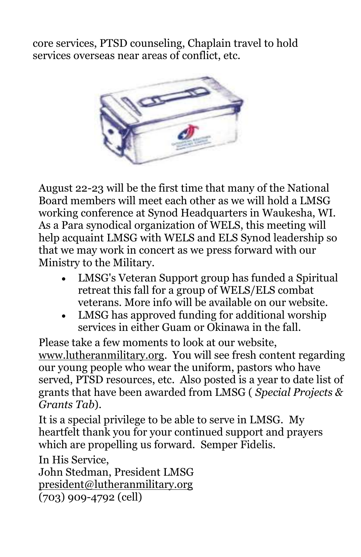core services, PTSD counseling, Chaplain travel to hold services overseas near areas of conflict, etc.



August 22-23 will be the first time that many of the National Board members will meet each other as we will hold a LMSG working conference at Synod Headquarters in Waukesha, WI. As a Para synodical organization of WELS, this meeting will help acquaint LMSG with WELS and ELS Synod leadership so that we may work in concert as we press forward with our Ministry to the Military.

- LMSG's Veteran Support group has funded a Spiritual retreat this fall for a group of WELS/ELS combat veterans. More info will be available on our website.
- LMSG has approved funding for additional worship services in either Guam or Okinawa in the fall.

Please take a few moments to look at our website, [www.lutheranmilitary.org.](http://lutheranmilitarty.us11.list-manage.com/track/click?u=9f4a1cfe322865ca3ea3b268f&id=8ff8bcf5e4&e=cbee5ccb3f) You will see fresh content regarding our young people who wear the uniform, pastors who have served, PTSD resources, etc. Also posted is a year to date list of grants that have been awarded from LMSG ( *Special Projects & Grants Tab*).

It is a special privilege to be able to serve in LMSG. My heartfelt thank you for your continued support and prayers which are propelling us forward. Semper Fidelis.

In His Service,

John Stedman, President LMSG [president@lutheranmilitary.org](http://mail2.finalweb.net/webmail/basic/index.html?_n%5Bp%5D%5Bmain%5D=win.main.tree&_n%5Bp%5D%5Bcontent%5D=mail.compose&to=president@lutheranmilitary.org) (703) 909-4792 (cell)